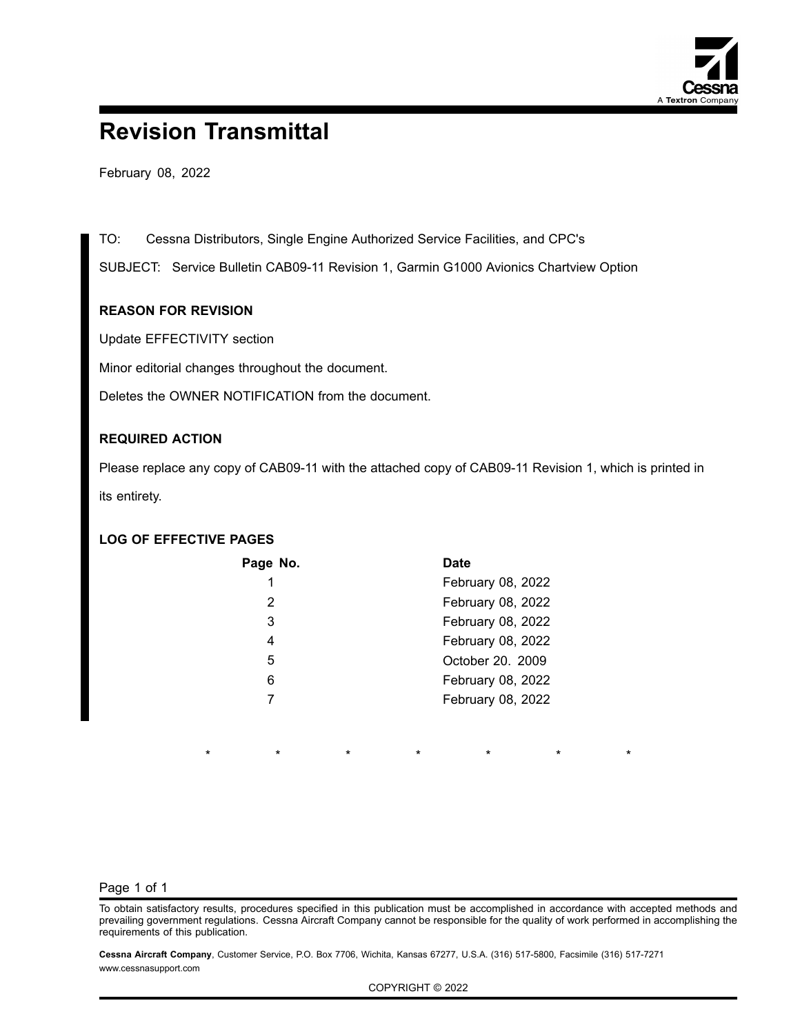

# **Revision Transmittal**

February 08, 2022

TO: Cessna Distributors, Single Engine Authorized Service Facilities, and CPC's

SUBJECT: Service Bulletin CAB09-11 Revision 1, Garmin G1000 Avionics Chartview Option

### **REASON FOR REVISION**

Update EFFECTIVITY section

Minor editorial changes throughout the document.

Deletes the OWNER NOTIFICATION from the document.

### **REQUIRED ACTION**

Please replace any copy of CAB09-11 with the attached copy of CAB09-11 Revision 1, which is printed in its entirety.

## **LOG OF EFFECTIVE PAGES**

\*

| Page No. | <b>Date</b>       |
|----------|-------------------|
| 1        | February 08, 2022 |
| 2        | February 08, 2022 |
| 3        | February 08, 2022 |
| 4        | February 08, 2022 |
| 5        | October 20. 2009  |
| 6        | February 08, 2022 |
|          | February 08, 2022 |
|          |                   |

#### Page 1 of 1

To obtain satisfactory results, procedures specified in this publication must be accomplished in accordance with accepted methods and prevailing government regulations. Cessna Aircraft Company cannot be responsible for the quality of work performed in accomplishing the requirements of this publication.

\* \* \* \* \* \*

**Cessna Aircraft Company**, Customer Service, P.O. Box 7706, Wichita, Kansas 67277, U.S.A. (316) 517-5800, Facsimile (316) 517-7271 www.cessnasupport.com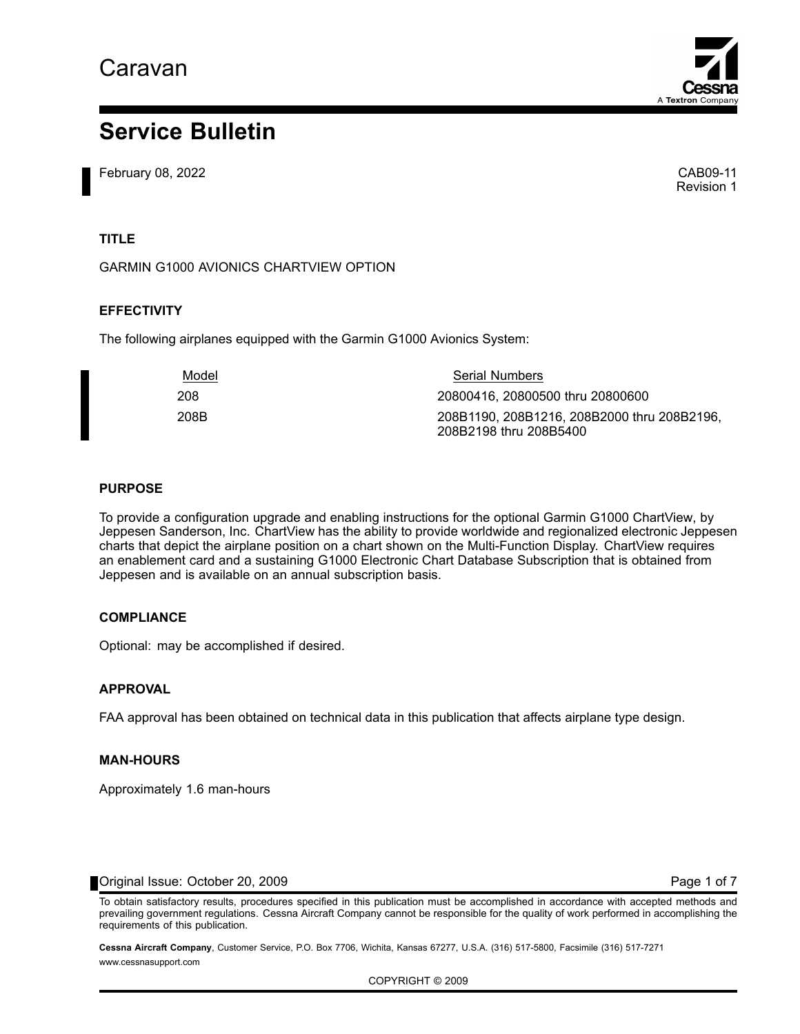

# **Service Bulletin**

February 08, 2022 CAB09-11

Revision 1

## **TITLE**

GARMIN G1000 AVIONICS CHARTVIEW OPTION

### **EFFECTIVITY**

The following airplanes equipped with the Garmin G1000 Avionics System:

| Model | <b>Serial Numbers</b>                                                 |
|-------|-----------------------------------------------------------------------|
| 208   | 20800416, 20800500 thru 20800600                                      |
| 208B  | 208B1190, 208B1216, 208B2000 thru 208B2196,<br>208B2198 thru 208B5400 |

#### **PURPOSE**

To provide <sup>a</sup> configuration upgrade and enabling instructions for the optional Garmin G1000 ChartView, by Jeppesen Sanderson, Inc. ChartView has the ability to provide worldwide and regionalized electronic Jeppesen charts that depict the airplane position on <sup>a</sup> chart shown on the Multi-Function Display. ChartView requires an enablement card and <sup>a</sup> sustaining G1000 Electronic Chart Database Subscription that is obtained from Jeppesen and is available on an annual subscription basis.

### **COMPLIANCE**

Optional: may be accomplished if desired.

#### **APPROVAL**

FAA approval has been obtained on technical data in this publication that affects airplane type design.

#### **MAN-HOURS**

Approximately 1.6 man-hours

Original Issue: October 20, 2009 Page 1 of [7](#page-11-0)

To obtain satisfactory results, procedures specified in this publication must be accomplished in accordance with accepted methods and prevailing government regulations. Cessna Aircraft Company cannot be responsible for the quality of work performed in accomplishing the requirements of this publication.

**Cessna Aircraft Company**, Customer Service, P.O. Box 7706, Wichita, Kansas 67277, U.S.A. (316) 517-5800, Facsimile (316) 517-7271 www.cessnasupport.com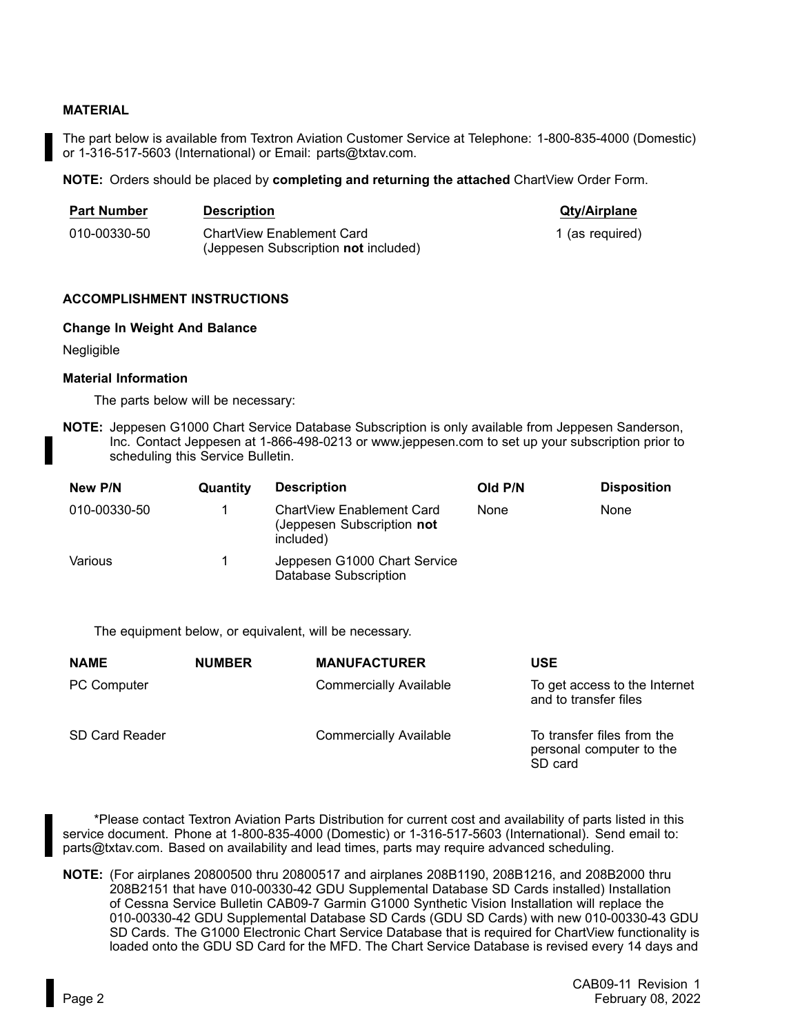#### **MATERIAL**

The part below is available from Textron Aviation Customer Service at Telephone: 1-800-835-4000 (Domestic) or 1-316-517-5603 (International) or Email: parts@txtav.com.

**NOTE:** Orders should be placed by **completing and returning the attached** ChartView Order Form.

| <b>Part Number</b> | <b>Description</b>                                                       | <b>Qty/Airplane</b> |
|--------------------|--------------------------------------------------------------------------|---------------------|
| 010-00330-50       | ChartView Enablement Card<br>(Jeppesen Subscription <b>not</b> included) | 1 (as required)     |

#### **ACCOMPLISHMENT INSTRUCTIONS**

#### **Change In Weight And Balance**

Negligible

#### **Material Information**

The parts below will be necessary:

**NOTE:** Jeppesen G1000 Chart Service Database Subscription is only available from Jeppesen Sanderson, Inc. Contact Jeppesen at 1-866-498-0213 or www.jeppesen.com to set up your subscription prior to scheduling this Service Bulletin.

| New P/N      | Quantity | <b>Description</b>                                                   | Old P/N | <b>Disposition</b> |
|--------------|----------|----------------------------------------------------------------------|---------|--------------------|
| 010-00330-50 |          | ChartView Enablement Card<br>(Jeppesen Subscription not<br>included) | None    | None               |
| Various      |          | Jeppesen G1000 Chart Service<br><b>Database Subscription</b>         |         |                    |

The equipment below, or equivalent, will be necessary.

| <b>NAME</b>           | <b>NUMBER</b> | <b>MANUFACTURER</b>           | USE                                                               |
|-----------------------|---------------|-------------------------------|-------------------------------------------------------------------|
| <b>PC Computer</b>    |               | <b>Commercially Available</b> | To get access to the Internet<br>and to transfer files            |
| <b>SD Card Reader</b> |               | <b>Commercially Available</b> | To transfer files from the<br>personal computer to the<br>SD card |

\*Please contact Textron Aviation Parts Distribution for current cost and availability of parts listed in this service document. Phone at 1-800-835-4000 (Domestic) or 1-316-517-5603 (International). Send email to: parts@txtav.com. Based on availability and lead times, parts may require advanced scheduling.

**NOTE:** (For airplanes 20800500 thru 20800517 and airplanes 208B1190, 208B1216, and 208B2000 thru 208B2151 that have 010-00330-42 GDU Supplemental Database SD Cards installed) Installation of Cessna Service Bulletin CAB09-7 Garmin G1000 Synthetic Vision Installation will replace the 010-00330-42 GDU Supplemental Database SD Cards (GDU SD Cards) with new 010-00330-43 GDU SD Cards. The G1000 Electronic Chart Service Database that is required for ChartView functionality is loaded onto the GDU SD Card for the MFD. The Chart Service Database is revised every 14 days and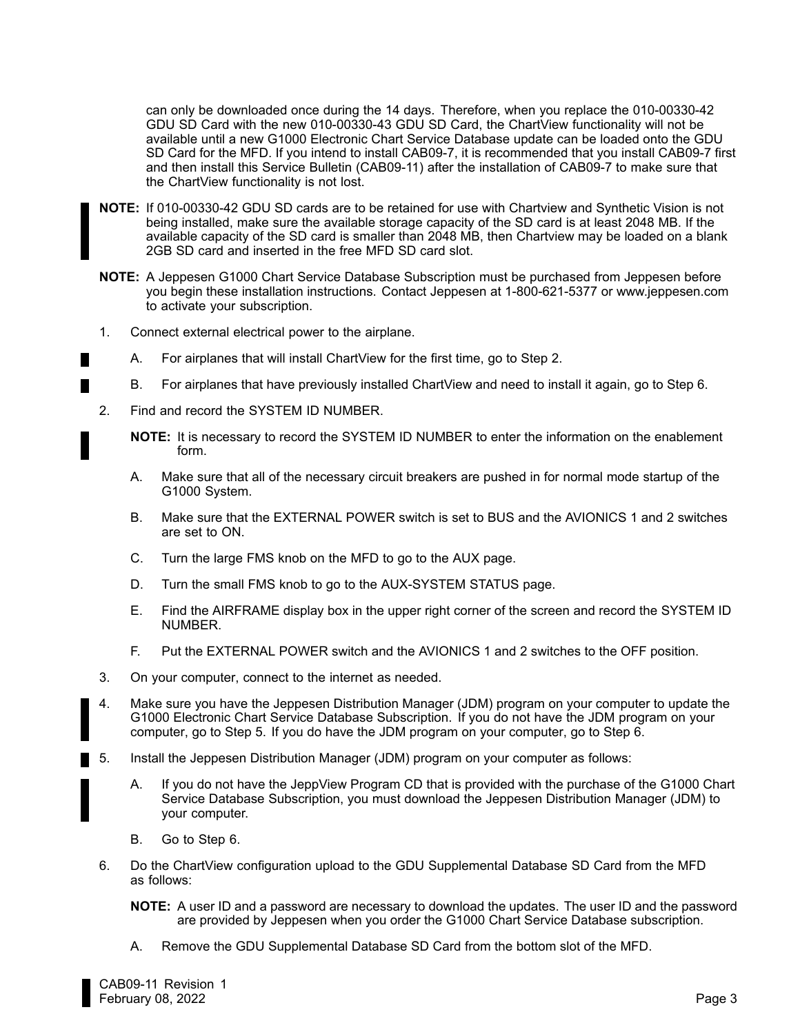can only be downloaded once during the 14 days. Therefore, when you replace the 010-00330-42 GDU SD Card with the new 010-00330-43 GDU SD Card, the ChartView functionality will not be available until <sup>a</sup> new G1000 Electronic Chart Service Database update can be loaded onto the GDU SD Card for the MFD. If you intend to install CAB09-7, it is recommended that you install CAB09-7 first and then install this Service Bulletin (CAB09-11) after the installation of CAB09-7 to make sure that the ChartView functionality is not lost.

- **NOTE:** If 010-00330-42 GDU SD cards are to be retained for use with Chartview and Synthetic Vision is not being installed, make sure the available storage capacity of the SD card is at least 2048 MB. If the available capacity of the SD card is smaller than 2048 MB, then Chartview may be loaded on <sup>a</sup> blank 2GB SD card and inserted in the free MFD SD card slot.
- **NOTE:** A Jeppesen G1000 Chart Service Database Subscription must be purchased from Jeppesen before you begin these installation instructions. Contact Jeppesen at 1-800-621-5377 or www.jeppesen.com to activate your subscription.
- 1. Connect external electrical power to the airplane.
	- A. For airplanes that will install ChartView for the first time, go to Step 2.
	- B. For airplanes that have previously installed ChartView and need to install it again, go to Step 6.
- 2. Find and record the SYSTEM ID NUMBER.

**NOTE:** It is necessary to record the SYSTEM ID NUMBER to enter the information on the enablement form.

- A. Make sure that all of the necessary circuit breakers are pushed in for normal mode startup of the G1000 System.
- B. Make sure that the EXTERNAL POWER switch is set to BUS and the AVIONICS 1 and 2 switches are set to ON.
- C. Turn the large FMS knob on the MFD to go to the AUX page.
- D. Turn the small FMS knob to go to the AUX-SYSTEM STATUS page.
- E. Find the AIRFRAME display box in the upper right corner of the screen and record the SYSTEM ID NUMBER.
- F. Put the EXTERNAL POWER switch and the AVIONICS 1 and 2 switches to the OFF position.
- 3. On your computer, connect to the internet as needed.
- 4. Make sure you have the Jeppesen Distribution Manager (JDM) program on your computer to update the G1000 Electronic Chart Service Database Subscription. If you do not have the JDM program on your computer, go to Step 5. If you do have the JDM program on your computer, go to Step 6.
- 5. Install the Jeppesen Distribution Manager (JDM) program on your computer as follows:
	- A. If you do not have the JeppView Program CD that is provided with the purchase of the G1000 Chart Service Database Subscription, you must download the Jeppesen Distribution Manager (JDM) to your computer.
	- B. Go to Step 6.
	- 6. Do the ChartView configuration upload to the GDU Supplemental Database SD Card from the MFD as follows:
		- **NOTE:** A user ID and <sup>a</sup> password are necessary to download the updates. The user ID and the password are provided by Jeppesen when you order the G1000 Chart Service Database subscription.
		- A. Remove the GDU Supplemental Database SD Card from the bottom slot of the MFD.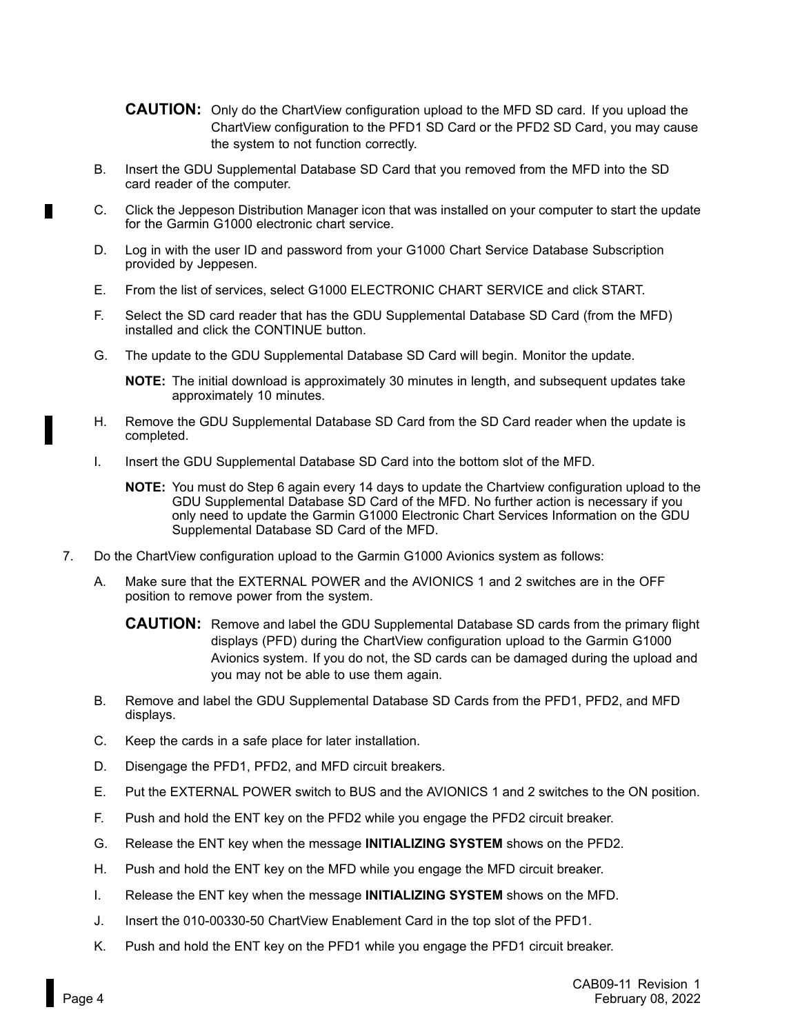- **CAUTION:** Only do the ChartView configuration upload to the MFD SD card. If you upload the ChartView configuration to the PFD1 SD Card or the PFD2 SD Card, you may cause the system to not function correctly.
- B. Insert the GDU Supplemental Database SD Card that you removed from the MFD into the SD card reader of the computer.
- C. Click the Jeppeson Distribution Manager icon that was installed on your computer to start the update for the Garmin G1000 electronic chart service.
- D. Log in with the user ID and password from your G1000 Chart Service Database Subscription provided by Jeppesen.
- E. From the list of services, select G1000 ELECTRONIC CHART SERVICE and click START.
- F. Select the SD card reader that has the GDU Supplemental Database SD Card (from the MFD) installed and click the CONTINUE button.
- G. The update to the GDU Supplemental Database SD Card will begin. Monitor the update.

**NOTE:** The initial download is approximately 30 minutes in length, and subsequent updates take approximately 10 minutes.

- H. Remove the GDU Supplemental Database SD Card from the SD Card reader when the update is completed.
- I. Insert the GDU Supplemental Database SD Card into the bottom slot of the MFD.
	- **NOTE:** You must do Step 6 again every 14 days to update the Chartview configuration upload to the GDU Supplemental Database SD Card of the MFD. No further action is necessary if you only need to update the Garmin G1000 Electronic Chart Services Information on the GDU Supplemental Database SD Card of the MFD.
- 7. Do the ChartView configuration upload to the Garmin G1000 Avionics system as follows:
	- A. Make sure that the EXTERNAL POWER and the AVIONICS 1 and 2 switches are in the OFF position to remove power from the system.
		- **CAUTION:** Remove and label the GDU Supplemental Database SD cards from the primary flight displays (PFD) during the ChartView configuration upload to the Garmin G1000 Avionics system. If you do not, the SD cards can be damaged during the upload and you may not be able to use them again.
	- B. Remove and label the GDU Supplemental Database SD Cards from the PFD1, PFD2, and MFD displays.
	- C. Keep the cards in <sup>a</sup> safe place for later installation.
	- D. Disengage the PFD1, PFD2, and MFD circuit breakers.
	- E. Put the EXTERNAL POWER switch to BUS and the AVIONICS 1 and 2 switches to the ON position.
	- F. Push and hold the ENT key on the PFD2 while you engage the PFD2 circuit breaker.
	- G. Release the ENT key when the message **INITIALIZING SYSTEM** shows on the PFD2.
	- H. Push and hold the ENT key on the MFD while you engage the MFD circuit breaker.
	- I. Release the ENT key when the message **INITIALIZING SYSTEM** shows on the MFD.
	- J. Insert the 010-00330-50 ChartView Enablement Card in the top slot of the PFD1.
	- K. Push and hold the ENT key on the PFD1 while you engage the PFD1 circuit breaker.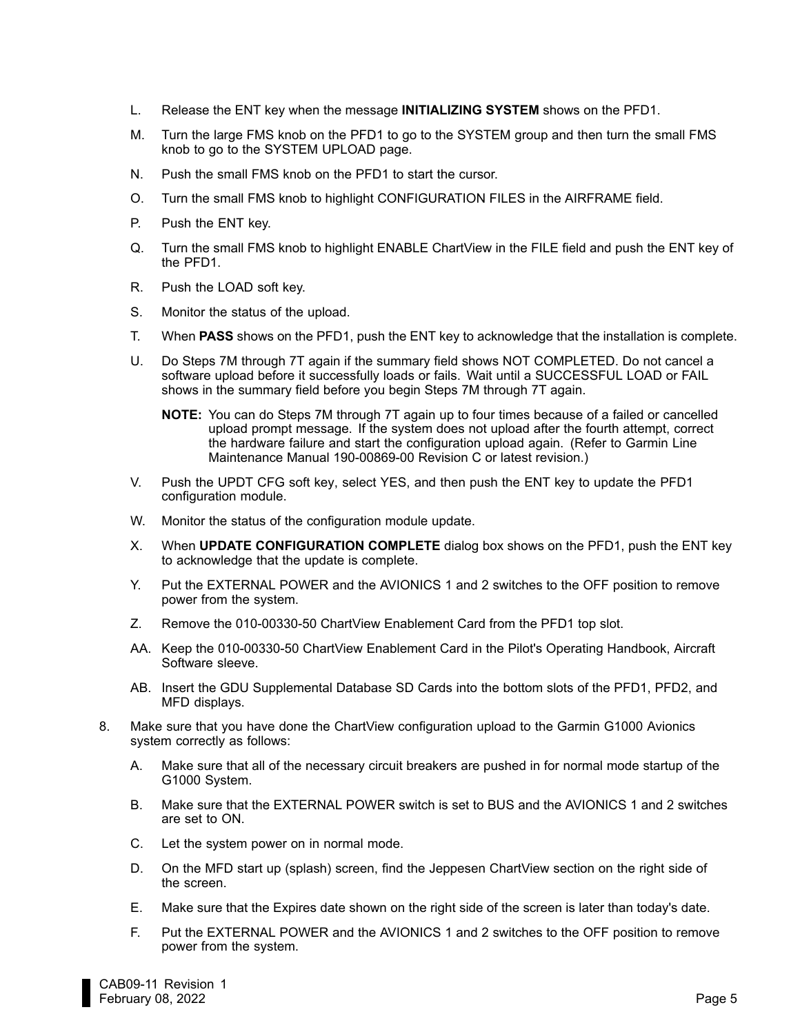- L. Release the ENT key when the message **INITIALIZING SYSTEM** shows on the PFD1.
- M. Turn the large FMS knob on the PFD1 to go to the SYSTEM group and then turn the small FMS knob to go to the SYSTEM UPLOAD page.
- N. Push the small FMS knob on the PFD1 to start the cursor.
- O. Turn the small FMS knob to highlight CONFIGURATION FILES in the AIRFRAME field.
- P. Push the ENT key.
- Q. Turn the small FMS knob to highlight ENABLE ChartView in the FILE field and push the ENT key of the PFD1.
- R. Push the LOAD soft key.
- S. Monitor the status of the upload.
- T. When **PASS** shows on the PFD1, push the ENT key to acknowledge that the installation is complete.
- U. Do Steps 7M through 7T again if the summary field shows NOT COMPLETED. Do not cancel <sup>a</sup> software upload before it successfully loads or fails. Wait until <sup>a</sup> SUCCESSFUL LOAD or FAIL shows in the summary field before you begin Steps 7M through 7T again.
	- **NOTE:** You can do Steps 7M through 7T again up to four times because of <sup>a</sup> failed or cancelled upload prompt message. If the system does not upload after the fourth attempt, correct the hardware failure and start the configuration upload again. (Refer to Garmin Line Maintenance Manual 190-00869-00 Revision C or latest revision.)
- V. Push the UPDT CFG soft key, select YES, and then push the ENT key to update the PFD1 configuration module.
- W. Monitor the status of the configuration module update.
- X. When **UPDATE CONFIGURATION COMPLETE** dialog box shows on the PFD1, push the ENT key to acknowledge that the update is complete.
- Y. Put the EXTERNAL POWER and the AVIONICS 1 and 2 switches to the OFF position to remove power from the system.
- Z. Remove the 010-00330-50 ChartView Enablement Card from the PFD1 top slot.
- AA. Keep the 010-00330-50 ChartView Enablement Card in the Pilot's Operating Handbook, Aircraft Software sleeve.
- AB. Insert the GDU Supplemental Database SD Cards into the bottom slots of the PFD1, PFD2, and MFD displays.
- 8. Make sure that you have done the ChartView configuration upload to the Garmin G1000 Avionics system correctly as follows:
	- A. Make sure that all of the necessary circuit breakers are pushed in for normal mode startup of the G1000 System.
	- B. Make sure that the EXTERNAL POWER switch is set to BUS and the AVIONICS 1 and 2 switches are set to ON.
	- C. Let the system power on in normal mode.
	- D. On the MFD start up (splash) screen, find the Jeppesen ChartView section on the right side of the screen.
	- E. Make sure that the Expires date shown on the right side of the screen is later than today's date.
	- F. Put the EXTERNAL POWER and the AVIONICS 1 and 2 switches to the OFF position to remove power from the system.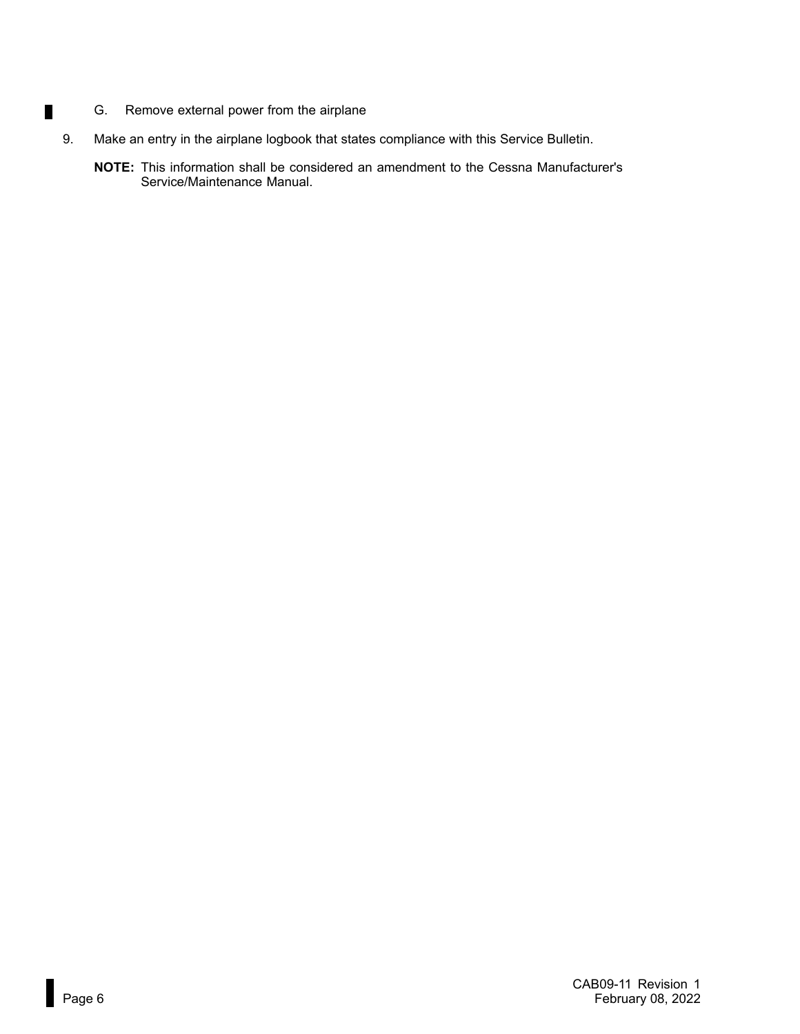G. Remove external power from the airplane

 $\blacksquare$ 

- 9. Make an entry in the airplane logbook that states compliance with this Service Bulletin.
	- **NOTE:** This information shall be considered an amendment to the Cessna Manufacturer's Service/Maintenance Manual.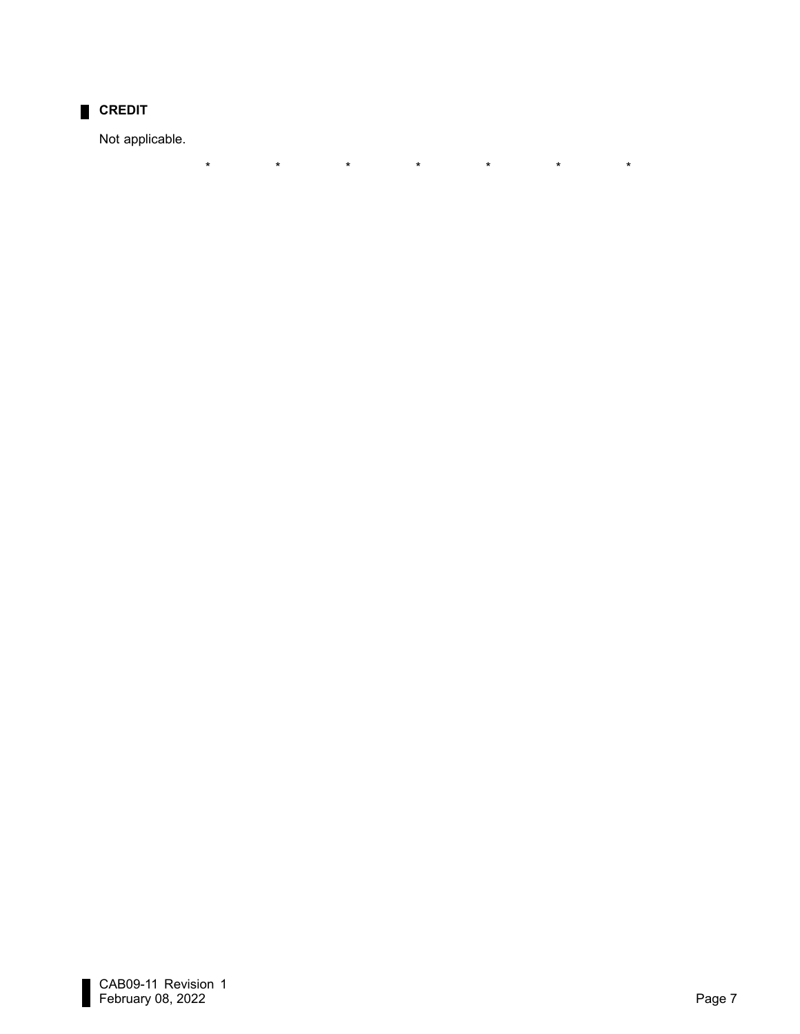

Not applicable.

\*

\* \* \* \* \* \*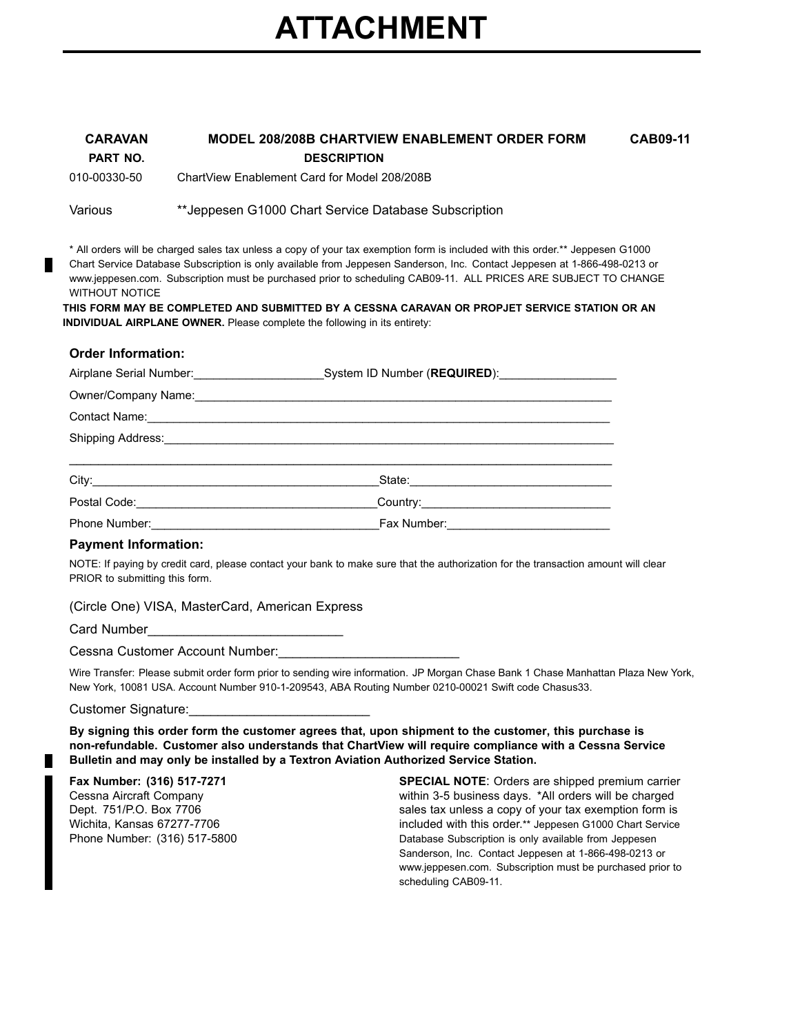# **ATTACHMENT**

| <b>CARAVAN</b> | <b>MODEL 208/208B CHARTVIEW ENABLEMENT ORDER FORM</b> | <b>CAB09-11</b> |
|----------------|-------------------------------------------------------|-----------------|
| PART NO.       | <b>DESCRIPTION</b>                                    |                 |
| 010-00330-50   | ChartView Enablement Card for Model 208/208B          |                 |

Various \*\*Jeppesen G1000 Chart Service Database Subscription

\* All orders will be charged sales tax unless <sup>a</sup> copy of your tax exemption form is included with this order.\*\* Jeppesen G1000 Chart Service Database Subscription is only available from Jeppesen Sanderson, Inc. Contact Jeppesen at 1-866-498-0213 or www.jeppesen.com. Subscription must be purchased prior to scheduling CAB09-11. ALL PRICES ARE SUBJECT TO CHANGE WITHOUT NOTICE

**THIS FORM MAY BE COMPLETED AND SUBMITTED BY A CESSNA CARAVAN OR PROPJET SERVICE STATION OR AN INDIVIDUAL AIRPLANE OWNER.** Please complete the following in its entirety:

#### **Order Information:**

|                                                                                                                                                                                                                                | System ID Number (REQUIRED): System ID Number (REQUIRED): |
|--------------------------------------------------------------------------------------------------------------------------------------------------------------------------------------------------------------------------------|-----------------------------------------------------------|
| Owner/Company Name:                                                                                                                                                                                                            |                                                           |
|                                                                                                                                                                                                                                |                                                           |
| Shipping Address: Management Control of the Shipping Address:                                                                                                                                                                  |                                                           |
|                                                                                                                                                                                                                                |                                                           |
|                                                                                                                                                                                                                                |                                                           |
| Postal Code: National Code: National Code: National Code: National Code: National Code: National Code: National Code: National Code: National Code: National Code: National Code: National Code: National Code: National Code: |                                                           |
|                                                                                                                                                                                                                                |                                                           |

#### **Payment Information:**

NOTE: If paying by credit card, please contact your bank to make sure that the authorization for the transaction amount will clear PRIOR to submitting this form.

#### (Circle One) VISA, MasterCard, American Express

Card Number

Cessna Customer Account Number:

Wire Transfer: Please submit order form prior to sending wire information. JP Morgan Chase Bank 1 Chase Manhattan Plaza New York, New York, 10081 USA. Account Number 910-1-209543, ABA Routing Number 0210-00021 Swift code Chasus33.

Customer Signature:

**By signing this order form the customer agrees that, upon shipment to the customer, this purchase is non-refundable. Customer also understands that ChartView will require compliance with <sup>a</sup> Cessna Service Bulletin and may only be installed by <sup>a</sup> Textron Aviation Authorized Service Station.**

#### **Fax Number: (316) 517-7271**

Cessna Aircraft Company Dept. 751/P.O. Box 7706 Wichita, Kansas 67277-7706 Phone Number: (316) 517-5800

**SPECIAL NOTE**: Orders are shipped premium carrier within 3-5 business days. \*All orders will be charged sales tax unless <sup>a</sup> copy of your tax exemption form is included with this order.\*\* Jeppesen G1000 Chart Service Database Subscription is only available from Jeppesen Sanderson, Inc. Contact Jeppesen at 1-866-498-0213 or www.jeppesen.com. Subscription must be purchased prior to scheduling CAB09-11.